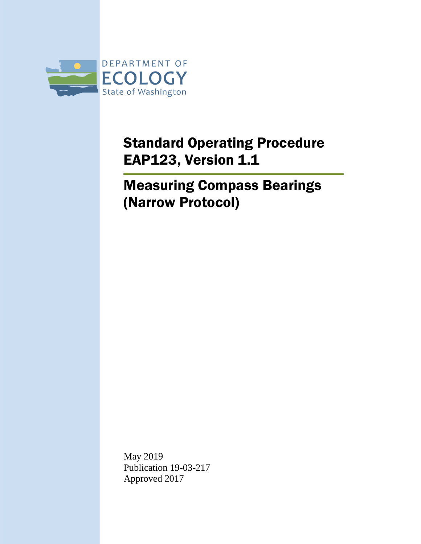

# Standard Operating Procedure EAP123, Version 1.1

Measuring Compass Bearings (Narrow Protocol)

May 2019 Publication 19-03-217 Approved 2017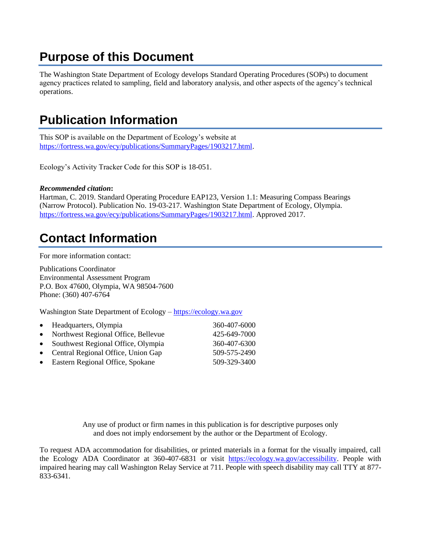## **Purpose of this Document**

The Washington State Department of Ecology develops Standard Operating Procedures (SOPs) to document agency practices related to sampling, field and laboratory analysis, and other aspects of the agency's technical operations.

### **Publication Information**

This SOP is available on the Department of Ecology's website at [https://fortress.wa.gov/ecy/publications/SummaryPages/1903217.html.](https://fortress.wa.gov/ecy/publications/SummaryPages/1903217.html)

Ecology's Activity Tracker Code for this SOP is 18-051.

#### *Recommended citation***:**

Hartman, C. 2019. Standard Operating Procedure EAP123, Version 1.1: Measuring Compass Bearings (Narrow Protocol). Publication No. 19-03-217. Washington State Department of Ecology, Olympia. [https://fortress.wa.gov/ecy/publications/SummaryPages/1903217.html.](https://fortress.wa.gov/ecy/publications/SummaryPages/1903217.html) Approved 2017.

## **Contact Information**

For more information contact:

Publications Coordinator Environmental Assessment Program P.O. Box 47600, Olympia, WA 98504-7600 Phone: (360) 407-6764

Washington State Department of Ecology – [https://ecology.wa.gov](https://ecology.wa.gov/)

| • Headquarters, Olympia               | 360-407-6000 |
|---------------------------------------|--------------|
| • Northwest Regional Office, Bellevue | 425-649-7000 |
| • Southwest Regional Office, Olympia  | 360-407-6300 |
| • Central Regional Office, Union Gap  | 509-575-2490 |
| • Eastern Regional Office, Spokane    | 509-329-3400 |

Any use of product or firm names in this publication is for descriptive purposes only and does not imply endorsement by the author or the Department of Ecology.

To request ADA accommodation for disabilities, or printed materials in a format for the visually impaired, call the Ecology ADA Coordinator at 360-407-6831 or visit [https://ecology.wa.gov/accessibility.](https://ecology.wa.gov/accessibility) People with impaired hearing may call Washington Relay Service at 711. People with speech disability may call TTY at 877- 833-6341.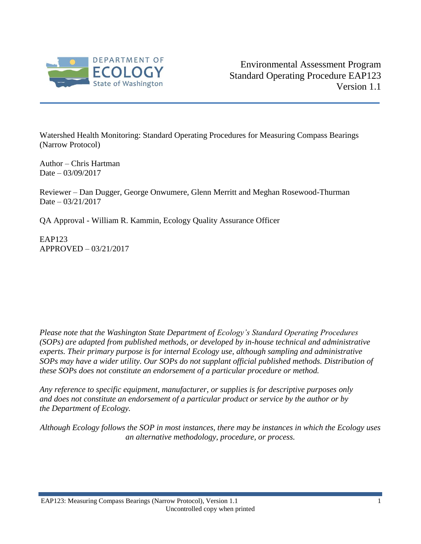

Watershed Health Monitoring: Standard Operating Procedures for Measuring Compass Bearings (Narrow Protocol)

Author – Chris Hartman Date – 03/09/2017

Reviewer – Dan Dugger, George Onwumere, Glenn Merritt and Meghan Rosewood-Thurman Date – 03/21/2017

QA Approval - William R. Kammin, Ecology Quality Assurance Officer

EAP123 APPROVED – 03/21/2017

*Please note that the Washington State Department of Ecology's Standard Operating Procedures (SOPs) are adapted from published methods, or developed by in-house technical and administrative experts. Their primary purpose is for internal Ecology use, although sampling and administrative SOPs may have a wider utility. Our SOPs do not supplant official published methods. Distribution of these SOPs does not constitute an endorsement of a particular procedure or method.*

*Any reference to specific equipment, manufacturer, or supplies is for descriptive purposes only and does not constitute an endorsement of a particular product or service by the author or by the Department of Ecology.*

*Although Ecology follows the SOP in most instances, there may be instances in which the Ecology uses an alternative methodology, procedure, or process.*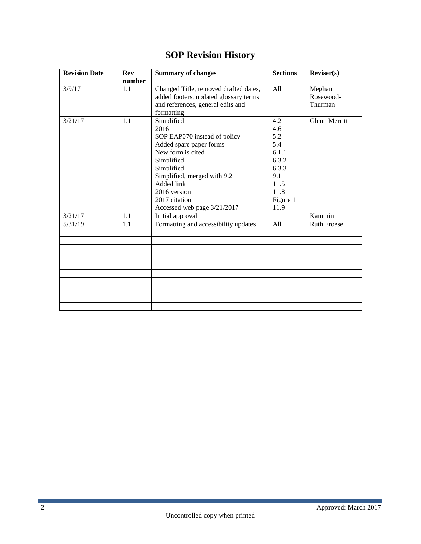### **SOP Revision History**

| <b>Revision Date</b> | <b>Rev</b> | <b>Summary of changes</b>             | <b>Sections</b> | Reviewser(s)         |
|----------------------|------------|---------------------------------------|-----------------|----------------------|
|                      | number     |                                       |                 |                      |
| 3/9/17               | 1.1        | Changed Title, removed drafted dates, | A11             | Meghan               |
|                      |            | added footers, updated glossary terms |                 | Rosewood-            |
|                      |            | and references, general edits and     |                 | Thurman              |
|                      |            | formatting                            |                 |                      |
| 3/21/17              | 1.1        | Simplified                            | 4.2             | <b>Glenn Merritt</b> |
|                      |            | 2016                                  | 4.6             |                      |
|                      |            | SOP EAP070 instead of policy          | 5.2             |                      |
|                      |            | Added spare paper forms               | 5.4             |                      |
|                      |            | New form is cited                     | 6.1.1           |                      |
|                      |            | Simplified                            | 6.3.2           |                      |
|                      |            | Simplified                            | 6.3.3           |                      |
|                      |            | Simplified, merged with 9.2           | 9.1             |                      |
|                      |            | Added link                            | 11.5            |                      |
|                      |            | 2016 version                          | 11.8            |                      |
|                      |            | 2017 citation                         | Figure 1        |                      |
|                      |            | Accessed web page 3/21/2017           | 11.9            |                      |
| 3/21/17              | 1.1        | Initial approval                      |                 | Kammin               |
| 5/31/19              | 1.1        | Formatting and accessibility updates  | All             | <b>Ruth Froese</b>   |
|                      |            |                                       |                 |                      |
|                      |            |                                       |                 |                      |
|                      |            |                                       |                 |                      |
|                      |            |                                       |                 |                      |
|                      |            |                                       |                 |                      |
|                      |            |                                       |                 |                      |
|                      |            |                                       |                 |                      |
|                      |            |                                       |                 |                      |
|                      |            |                                       |                 |                      |
|                      |            |                                       |                 |                      |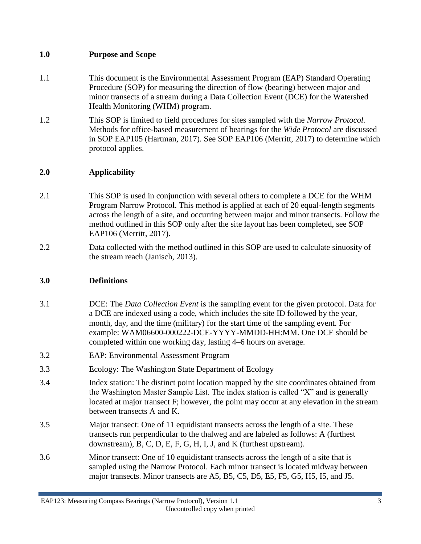#### **1.0 Purpose and Scope**

- 1.1 This document is the Environmental Assessment Program (EAP) Standard Operating Procedure (SOP) for measuring the direction of flow (bearing) between major and minor transects of a stream during a Data Collection Event (DCE) for the Watershed Health Monitoring (WHM) program.
- 1.2 This SOP is limited to field procedures for sites sampled with the *Narrow Protocol.* Methods for office-based measurement of bearings for the *Wide Protocol* are discussed in SOP EAP105 (Hartman, 2017). See SOP EAP106 (Merritt, 2017) to determine which protocol applies.

#### **2.0 Applicability**

- 2.1 This SOP is used in conjunction with several others to complete a DCE for the WHM Program Narrow Protocol. This method is applied at each of 20 equal-length segments across the length of a site, and occurring between major and minor transects. Follow the method outlined in this SOP only after the site layout has been completed, see SOP EAP106 (Merritt, 2017).
- 2.2 Data collected with the method outlined in this SOP are used to calculate sinuosity of the stream reach (Janisch, 2013).

#### **3.0 Definitions**

- 3.1 DCE: The *Data Collection Event* is the sampling event for the given protocol. Data for a DCE are indexed using a code, which includes the site ID followed by the year, month, day, and the time (military) for the start time of the sampling event. For example: WAM06600-000222-DCE-YYYY-MMDD-HH:MM. One DCE should be completed within one working day, lasting 4–6 hours on average.
- 3.2 EAP: Environmental Assessment Program
- 3.3 Ecology: The Washington State Department of Ecology
- 3.4 Index station: The distinct point location mapped by the site coordinates obtained from the Washington Master Sample List. The index station is called "X" and is generally located at major transect F; however, the point may occur at any elevation in the stream between transects A and K.
- 3.5 Major transect: One of 11 equidistant transects across the length of a site. These transects run perpendicular to the thalweg and are labeled as follows: A (furthest downstream), B, C, D, E, F, G, H, I, J, and K (furthest upstream).
- 3.6 Minor transect: One of 10 equidistant transects across the length of a site that is sampled using the Narrow Protocol. Each minor transect is located midway between major transects. Minor transects are A5, B5, C5, D5, E5, F5, G5, H5, I5, and J5.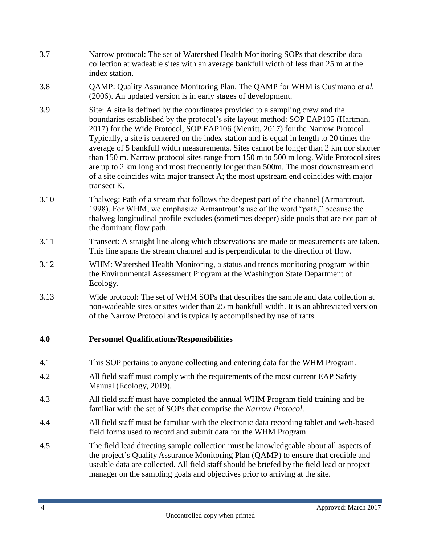| 3.7 | Narrow protocol: The set of Watershed Health Monitoring SOPs that describe data      |
|-----|--------------------------------------------------------------------------------------|
|     | collection at wadeable sites with an average bankfull width of less than 25 m at the |
|     | index station.                                                                       |

- 3.8 QAMP: Quality Assurance Monitoring Plan. The QAMP for WHM is Cusimano *et al.* (2006). An updated version is in early stages of development.
- 3.9 Site: A site is defined by the coordinates provided to a sampling crew and the boundaries established by the protocol's site layout method: SOP EAP105 (Hartman, 2017) for the Wide Protocol, SOP EAP106 (Merritt, 2017) for the Narrow Protocol. Typically, a site is centered on the index station and is equal in length to 20 times the average of 5 bankfull width measurements. Sites cannot be longer than 2 km nor shorter than 150 m. Narrow protocol sites range from 150 m to 500 m long. Wide Protocol sites are up to 2 km long and most frequently longer than 500m. The most downstream end of a site coincides with major transect A; the most upstream end coincides with major transect K.
- 3.10 Thalweg: Path of a stream that follows the deepest part of the channel (Armantrout, 1998). For WHM, we emphasize Armantrout's use of the word "path," because the thalweg longitudinal profile excludes (sometimes deeper) side pools that are not part of the dominant flow path.
- 3.11 Transect: A straight line along which observations are made or measurements are taken. This line spans the stream channel and is perpendicular to the direction of flow.
- 3.12 WHM: Watershed Health Monitoring, a status and trends monitoring program within the Environmental Assessment Program at the Washington State Department of Ecology.
- 3.13 Wide protocol: The set of WHM SOPs that describes the sample and data collection at non-wadeable sites or sites wider than 25 m bankfull width. It is an abbreviated version of the Narrow Protocol and is typically accomplished by use of rafts.

#### **4.0 Personnel Qualifications/Responsibilities**

- 4.1 This SOP pertains to anyone collecting and entering data for the WHM Program.
- 4.2 All field staff must comply with the requirements of the most current EAP Safety Manual (Ecology, 2019).
- 4.3 All field staff must have completed the annual WHM Program field training and be familiar with the set of SOPs that comprise the *Narrow Protocol*.
- 4.4 All field staff must be familiar with the electronic data recording tablet and web-based field forms used to record and submit data for the WHM Program.
- 4.5 The field lead directing sample collection must be knowledgeable about all aspects of the project's Quality Assurance Monitoring Plan (QAMP) to ensure that credible and useable data are collected. All field staff should be briefed by the field lead or project manager on the sampling goals and objectives prior to arriving at the site.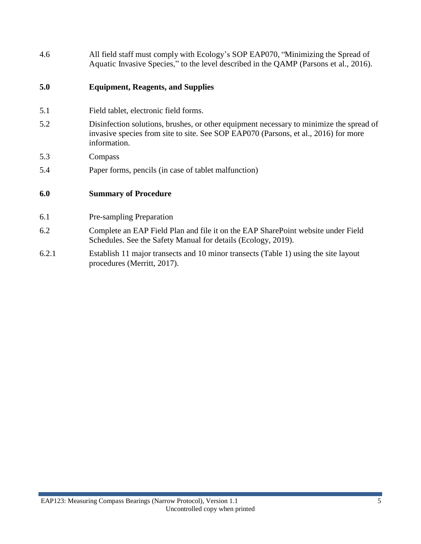4.6 All field staff must comply with Ecology's SOP EAP070, "Minimizing the Spread of Aquatic Invasive Species," to the level described in the QAMP (Parsons et al., 2016).

#### **5.0 Equipment, Reagents, and Supplies**

- 5.1 Field tablet, electronic field forms.
- 5.2 Disinfection solutions, brushes, or other equipment necessary to minimize the spread of invasive species from site to site. See SOP EAP070 (Parsons, et al., 2016) for more information.
- 5.3 Compass
- 5.4 Paper forms, pencils (in case of tablet malfunction)

#### **6.0 Summary of Procedure**

- 6.1 Pre-sampling Preparation
- 6.2 Complete an EAP Field Plan and file it on the EAP SharePoint website under Field Schedules. See the Safety Manual for details (Ecology, 2019).
- 6.2.1 Establish 11 major transects and 10 minor transects (Table 1) using the site layout procedures (Merritt, 2017).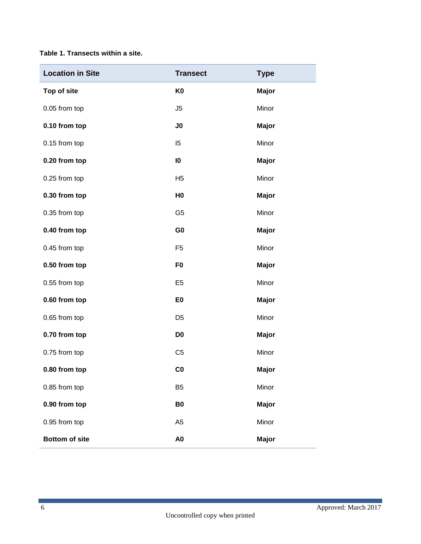#### **Table 1. Transects within a site.**

| <b>Location in Site</b> | <b>Transect</b> | <b>Type</b>  |
|-------------------------|-----------------|--------------|
| Top of site             | K <sub>0</sub>  | <b>Major</b> |
| 0.05 from top           | J5              | Minor        |
| 0.10 from top           | J <sub>0</sub>  | <b>Major</b> |
| 0.15 from top           | 15              | Minor        |
| 0.20 from top           | $\mathbf{I}$    | <b>Major</b> |
| 0.25 from top           | H <sub>5</sub>  | Minor        |
| 0.30 from top           | H <sub>0</sub>  | <b>Major</b> |
| 0.35 from top           | G <sub>5</sub>  | Minor        |
| 0.40 from top           | G <sub>0</sub>  | <b>Major</b> |
| 0.45 from top           | F <sub>5</sub>  | Minor        |
| 0.50 from top           | F <sub>0</sub>  | <b>Major</b> |
| 0.55 from top           | E <sub>5</sub>  | Minor        |
| 0.60 from top           | E <sub>0</sub>  | <b>Major</b> |
| 0.65 from top           | D <sub>5</sub>  | Minor        |
| 0.70 from top           | D <sub>0</sub>  | <b>Major</b> |
| 0.75 from top           | C <sub>5</sub>  | Minor        |
| 0.80 from top           | $\mathbf{C0}$   | <b>Major</b> |
| 0.85 from top           | B <sub>5</sub>  | Minor        |
| 0.90 from top           | <b>B0</b>       | <b>Major</b> |
| 0.95 from top           | A <sub>5</sub>  | Minor        |
| <b>Bottom of site</b>   | A <sub>0</sub>  | Major        |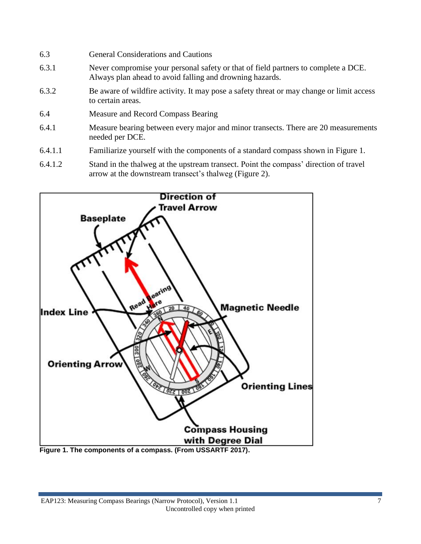- 6.3 General Considerations and Cautions
- 6.3.1 Never compromise your personal safety or that of field partners to complete a DCE. Always plan ahead to avoid falling and drowning hazards.
- 6.3.2 Be aware of wildfire activity. It may pose a safety threat or may change or limit access to certain areas.
- 6.4 Measure and Record Compass Bearing
- 6.4.1 Measure bearing between every major and minor transects. There are 20 measurements needed per DCE.
- 6.4.1.1 Familiarize yourself with the components of a standard compass shown in Figure 1.
- 6.4.1.2 Stand in the thalweg at the upstream transect. Point the compass' direction of travel arrow at the downstream transect's thalweg (Figure 2).



**Figure 1. The components of a compass. (From USSARTF 2017).**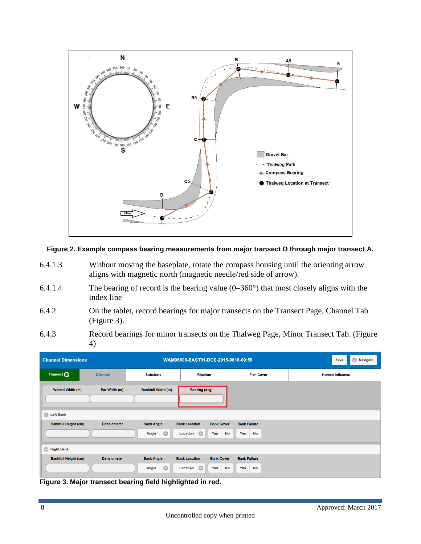

#### **Figure 2. Example compass bearing measurements from major transect D through major transect A.**

- 6.4.1.3 Without moving the baseplate, rotate the compass housing until the orienting arrow aligns with magnetic north (magnetic needle/red side of arrow).
- 6.4.1.4 The bearing of record is the bearing value (0–360°) that most closely aligns with the index line
- 6.4.2 On the tablet, record bearings for major transects on the Transect Page, Channel Tab (Figure 3).
- 6.4.3 Record bearings for minor transects on the Thalweg Page, Minor Transect Tab. (Figure 4)

| <b>Channel Dimensions</b>      |                    | WAM06600-EAST01-DCE-2015-0618-09:59     | Navigate<br>Save                                                              |                                         |                        |
|--------------------------------|--------------------|-----------------------------------------|-------------------------------------------------------------------------------|-----------------------------------------|------------------------|
| Transect G                     | <b>Channel</b>     | <b>Substrate</b>                        | Riparian                                                                      | <b>Fish Cover</b>                       | <b>Human Influence</b> |
| Wetted Width (m)               | Bar Width (m)      | <b>Bankfull Width (m)</b>               | <b>Bearing (deg)</b>                                                          |                                         |                        |
| <b>Example 1</b>               |                    |                                         |                                                                               |                                         |                        |
| <b>Bankfull Height (cm)</b>    | <b>Densiometer</b> | <b>Bank Angle</b><br>$\bullet$<br>Angle | <b>Bank Cover</b><br><b>Bank Location</b><br>$\circ$<br>Yes<br>No<br>Location | <b>Bank Failure</b><br>Yes<br><b>No</b> |                        |
| $\bullet$<br><b>Right Bank</b> |                    |                                         |                                                                               |                                         |                        |
| <b>Bankfull Height (cm)</b>    | <b>Densiometer</b> | <b>Bank Angle</b><br>$\bullet$<br>Angle | <b>Bank Cover</b><br><b>Bank Location</b><br>$\circ$<br>Yes<br>Location<br>No | <b>Bank Failure</b><br>Yes<br>No        |                        |

**Figure 3. Major transect bearing field highlighted in red.**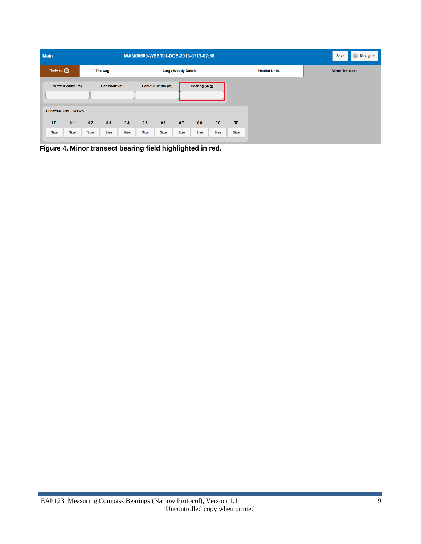| <b>Main</b>                                                                                     |      |             |                |      | WAM06600-WEST01-DCE-2015-0713-07:58 |             |                      |                           |             |             | <b>Navigate</b><br><b>Save</b> |                       |
|-------------------------------------------------------------------------------------------------|------|-------------|----------------|------|-------------------------------------|-------------|----------------------|---------------------------|-------------|-------------|--------------------------------|-----------------------|
| Thalweg $G$                                                                                     |      |             | <b>Thalweg</b> |      |                                     |             |                      | <b>Large Woody Debris</b> |             |             | <b>Habitat Units</b>           | <b>Minor Transect</b> |
| <b>Bankfull Width (m)</b><br>Wetted Width (m)<br>Bar Width (m)<br><b>Substrate Size Classes</b> |      |             |                |      |                                     |             | <b>Bearing (deg)</b> |                           |             |             |                                |                       |
| LB                                                                                              | 0.1  | 0.2         | 0.3            | 0.4  | 0.5                                 | 0.6         | 0.7                  | 0.8                       | 0.9         | <b>RB</b>   |                                |                       |
| <b>Size</b>                                                                                     | Size | <b>Size</b> | Size           | Size | Size                                | <b>Size</b> | <b>Size</b>          | <b>Size</b>               | <b>Size</b> | <b>Size</b> |                                |                       |

**Figure 4. Minor transect bearing field highlighted in red.**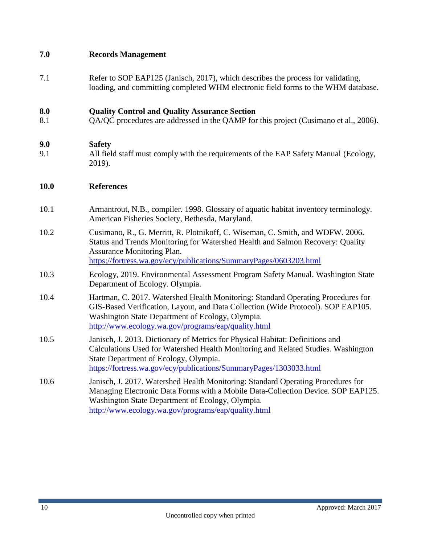#### **7.0 Records Management**

7.1 Refer to SOP EAP125 (Janisch, 2017), which describes the process for validating, loading, and committing completed WHM electronic field forms to the WHM database.

#### **8.0 Quality Control and Quality Assurance Section**

8.1 QA/QC procedures are addressed in the QAMP for this project (Cusimano et al., 2006).

#### **9.0 Safety**

9.1 All field staff must comply with the requirements of the EAP Safety Manual (Ecology, 2019).

#### **10.0 References**

- 10.1 Armantrout, N.B., compiler. 1998. Glossary of aquatic habitat inventory terminology. American Fisheries Society, Bethesda, Maryland.
- 10.2 Cusimano, R., G. Merritt, R. Plotnikoff, C. Wiseman, C. Smith, and WDFW. 2006. Status and Trends Monitoring for Watershed Health and Salmon Recovery: Quality Assurance Monitoring Plan. <https://fortress.wa.gov/ecy/publications/SummaryPages/0603203.html>
- 10.3 Ecology, 2019. Environmental Assessment Program Safety Manual. Washington State Department of Ecology. Olympia.
- 10.4 Hartman, C. 2017. Watershed Health Monitoring: Standard Operating Procedures for GIS-Based Verification, Layout, and Data Collection (Wide Protocol). SOP EAP105. Washington State Department of Ecology, Olympia. <http://www.ecology.wa.gov/programs/eap/quality.html>
- 10.5 Janisch, J. 2013. Dictionary of Metrics for Physical Habitat: Definitions and Calculations Used for Watershed Health Monitoring and Related Studies. Washington State Department of Ecology, Olympia. <https://fortress.wa.gov/ecy/publications/SummaryPages/1303033.html>
- 10.6 Janisch, J. 2017. Watershed Health Monitoring: Standard Operating Procedures for Managing Electronic Data Forms with a Mobile Data-Collection Device. SOP EAP125. Washington State Department of Ecology, Olympia. <http://www.ecology.wa.gov/programs/eap/quality.html>